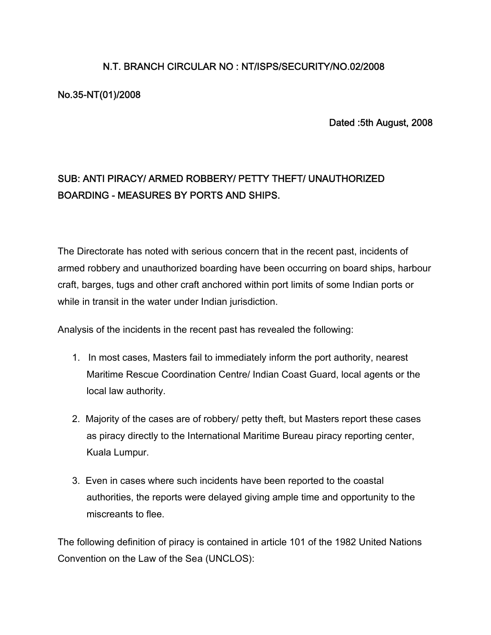### **N.T. BRANCH CIRCULAR NO : NT/ISPS/SECURITY/NO.02/2008**

#### **No.35-NT(01)/2008**

**Dated :5th August, 2008**

# **SUB: ANTI PIRACY/ ARMED ROBBERY/ PETTY THEFT/ UNAUTHORIZED BOARDING - MEASURES BY PORTS AND SHIPS.**

The Directorate has noted with serious concern that in the recent past, incidents of armed robbery and unauthorized boarding have been occurring on board ships, harbour craft, barges, tugs and other craft anchored within port limits of some Indian ports or while in transit in the water under Indian jurisdiction.

Analysis of the incidents in the recent past has revealed the following:

- 1. In most cases, Masters fail to immediately inform the port authority, nearest Maritime Rescue Coordination Centre/ Indian Coast Guard, local agents or the local law authority.
- 2. Majority of the cases are of robbery/ petty theft, but Masters report these cases as piracy directly to the International Maritime Bureau piracy reporting center, Kuala Lumpur.
- 3. Even in cases where such incidents have been reported to the coastal authorities, the reports were delayed giving ample time and opportunity to the miscreants to flee.

The following definition of piracy is contained in article 101 of the 1982 United Nations Convention on the Law of the Sea (UNCLOS):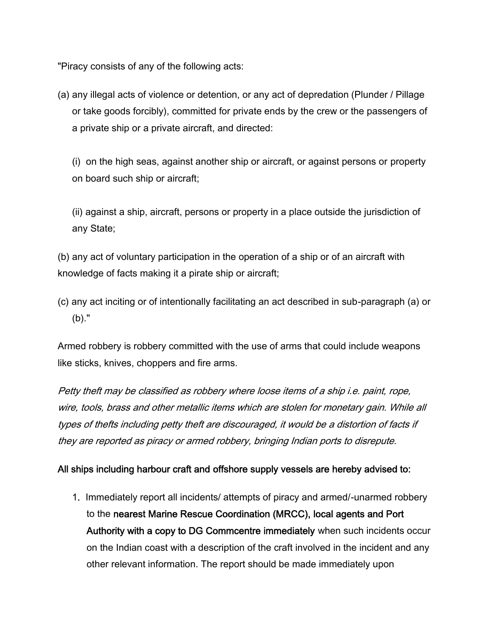"Piracy consists of any of the following acts:

(a) any illegal acts of violence or detention, or any act of depredation (Plunder / Pillage or take goods forcibly), committed for private ends by the crew or the passengers of a private ship or a private aircraft, and directed:

(i) on the high seas, against another ship or aircraft, or against persons or property on board such ship or aircraft;

(ii) against a ship, aircraft, persons or property in a place outside the jurisdiction of any State;

(b) any act of voluntary participation in the operation of a ship or of an aircraft with knowledge of facts making it a pirate ship or aircraft;

(c) any act inciting or of intentionally facilitating an act described in sub-paragraph (a) or (b)."

Armed robbery is robbery committed with the use of arms that could include weapons like sticks, knives, choppers and fire arms.

*Petty theft may be classified as robbery where loose items of a ship i.e. paint, rope, wire, tools, brass and other metallic items which are stolen for monetary gain. While all types of thefts including petty theft are discouraged, it would be a distortion of facts if they are reported as piracy or armed robbery, bringing Indian ports to disrepute.*

#### **All ships including harbour craft and offshore supply vessels are hereby advised to:**

1**.** Immediately report all incidents/ attempts of piracy and armed/-unarmed robbery to the **nearest Marine Rescue Coordination (MRCC), local agents and Port Authority with a copy to DG Commcentre immediately** when such incidents occur on the Indian coast with a description of the craft involved in the incident and any other relevant information. The report should be made immediately upon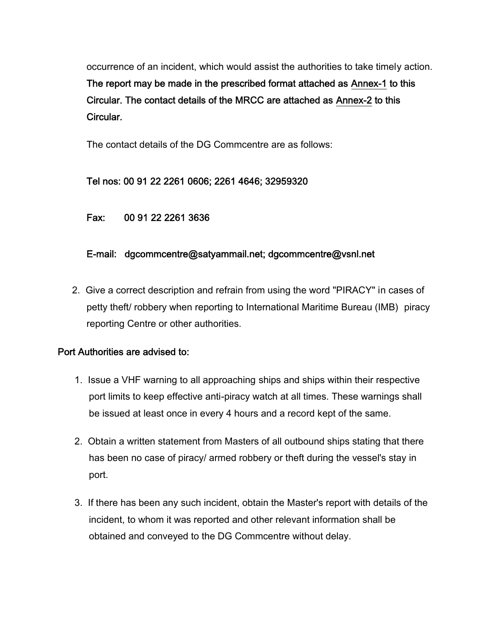occurrence of an incident, which would assist the authorities to take timely action. **The report may be made in the prescribed format attached as Annex-1 to this Circular. The contact details of the MRCC are attached as Annex-2 to this Circular.**

The contact details of the DG Commcentre are as follows:

#### **Tel nos: 00 91 22 2261 0606; 2261 4646; 32959320**

**Fax: 00 91 22 2261 3636**

#### **E-mail: dgcommcentre@satyammail.net; dgcommcentre@vsnl.net**

2. Give a correct description and refrain from using the word "PIRACY" in cases of petty theft/ robbery when reporting to International Maritime Bureau (IMB) piracy reporting Centre or other authorities.

#### **Port Authorities are advised to:**

- 1. Issue a VHF warning to all approaching ships and ships within their respective port limits to keep effective anti-piracy watch at all times. These warnings shall be issued at least once in every 4 hours and a record kept of the same.
- 2. Obtain a written statement from Masters of all outbound ships stating that there has been no case of piracy/ armed robbery or theft during the vessel's stay in port.
- 3. If there has been any such incident, obtain the Master's report with details of the incident, to whom it was reported and other relevant information shall be obtained and conveyed to the DG Commcentre without delay.